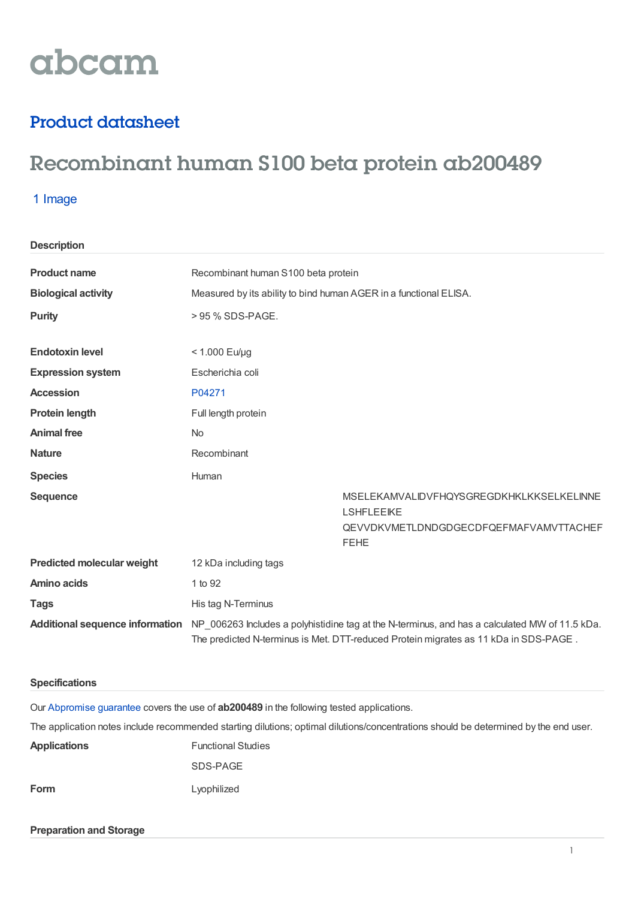# abcam

### Product datasheet

## Recombinant human S100 beta protein ab200489

#### 1 Image

**Description**

| <b>Product name</b>               | Recombinant human S100 beta protein                                                                                                                                                                                    |                                                                      |
|-----------------------------------|------------------------------------------------------------------------------------------------------------------------------------------------------------------------------------------------------------------------|----------------------------------------------------------------------|
| <b>Biological activity</b>        | Measured by its ability to bind human AGER in a functional ELISA.                                                                                                                                                      |                                                                      |
| <b>Purity</b>                     | > 95 % SDS-PAGE.                                                                                                                                                                                                       |                                                                      |
|                                   |                                                                                                                                                                                                                        |                                                                      |
| <b>Endotoxin level</b>            | $< 1.000$ Eu/µg                                                                                                                                                                                                        |                                                                      |
| <b>Expression system</b>          | Escherichia coli                                                                                                                                                                                                       |                                                                      |
| <b>Accession</b>                  | P04271                                                                                                                                                                                                                 |                                                                      |
| <b>Protein length</b>             | Full length protein                                                                                                                                                                                                    |                                                                      |
| <b>Animal free</b>                | <b>No</b>                                                                                                                                                                                                              |                                                                      |
| <b>Nature</b>                     | Recombinant                                                                                                                                                                                                            |                                                                      |
| <b>Species</b>                    | Human                                                                                                                                                                                                                  |                                                                      |
| <b>Sequence</b>                   |                                                                                                                                                                                                                        | <b>MSELEKAMVALIDVFHQYSGREGDKHKLKKSELKELINNE</b><br><b>LSHFLEEIKE</b> |
|                                   |                                                                                                                                                                                                                        | QEVVDKVMETLDNDGDGECDFQEFMAFVAMVTTACHEF<br><b>FEHE</b>                |
| <b>Predicted molecular weight</b> | 12 kDa including tags                                                                                                                                                                                                  |                                                                      |
| <b>Amino acids</b>                | 1 to 92                                                                                                                                                                                                                |                                                                      |
| <b>Tags</b>                       | His tag N-Terminus                                                                                                                                                                                                     |                                                                      |
|                                   | Additional sequence information NP_006263 Includes a polyhistidine tag at the N-terminus, and has a calculated MW of 11.5 kDa.<br>The predicted N-terminus is Met. DTT-reduced Protein migrates as 11 kDa in SDS-PAGE. |                                                                      |

#### **Specifications**

Our [Abpromise](https://www.abcam.com/abpromise) guarantee covers the use of **ab200489** in the following tested applications.

The application notes include recommended starting dilutions; optimal dilutions/concentrations should be determined by the end user.

| <b>Applications</b> | <b>Functional Studies</b> |
|---------------------|---------------------------|
|                     | SDS-PAGE                  |
| Form                | Lyophilized               |

#### **Preparation and Storage**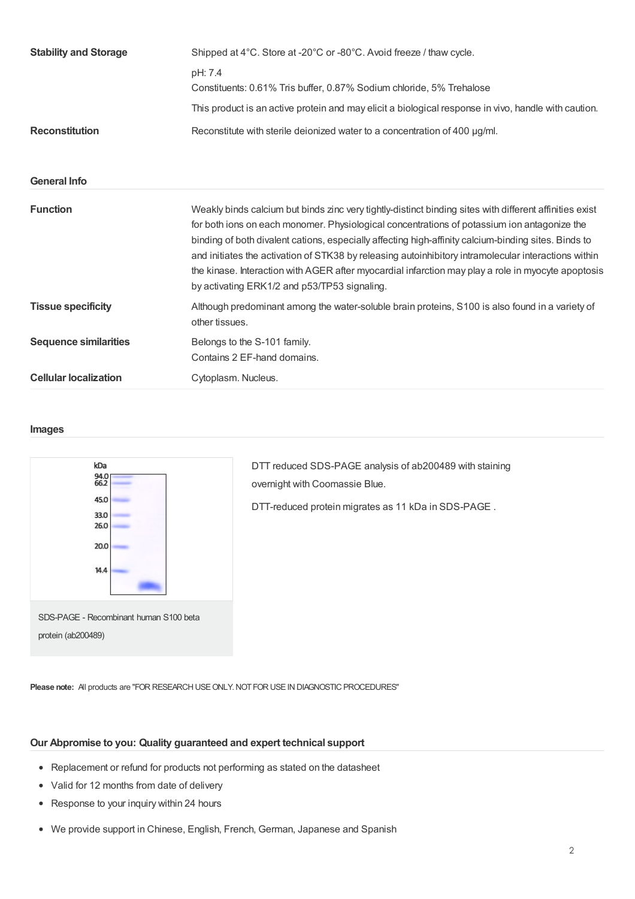| <b>Stability and Storage</b> | Shipped at 4°C. Store at -20°C or -80°C. Avoid freeze / thaw cycle.                                                                                                                                                                                                                                                                                                                                                                                                                                                                                                          |  |
|------------------------------|------------------------------------------------------------------------------------------------------------------------------------------------------------------------------------------------------------------------------------------------------------------------------------------------------------------------------------------------------------------------------------------------------------------------------------------------------------------------------------------------------------------------------------------------------------------------------|--|
|                              | pH: 7.4                                                                                                                                                                                                                                                                                                                                                                                                                                                                                                                                                                      |  |
|                              | Constituents: 0.61% Tris buffer, 0.87% Sodium chloride, 5% Trehalose                                                                                                                                                                                                                                                                                                                                                                                                                                                                                                         |  |
|                              | This product is an active protein and may elicit a biological response in vivo, handle with caution.                                                                                                                                                                                                                                                                                                                                                                                                                                                                         |  |
| <b>Reconstitution</b>        | Reconstitute with sterile deionized water to a concentration of 400 µg/ml.                                                                                                                                                                                                                                                                                                                                                                                                                                                                                                   |  |
|                              |                                                                                                                                                                                                                                                                                                                                                                                                                                                                                                                                                                              |  |
| <b>General Info</b>          |                                                                                                                                                                                                                                                                                                                                                                                                                                                                                                                                                                              |  |
| <b>Function</b>              | Weakly binds calcium but binds zinc very tightly-distinct binding sites with different affinities exist<br>for both ions on each monomer. Physiological concentrations of potassium ion antagonize the<br>binding of both divalent cations, especially affecting high-affinity calcium-binding sites. Binds to<br>and initiates the activation of STK38 by releasing autoinhibitory intramolecular interactions within<br>the kinase. Interaction with AGER after myocardial infarction may play a role in myocyte apoptosis<br>by activating ERK1/2 and p53/TP53 signaling. |  |
| <b>Tissue specificity</b>    | Although predominant among the water-soluble brain proteins, S100 is also found in a variety of<br>other tissues.                                                                                                                                                                                                                                                                                                                                                                                                                                                            |  |
| <b>Sequence similarities</b> | Belongs to the S-101 family.<br>Contains 2 EF-hand domains.                                                                                                                                                                                                                                                                                                                                                                                                                                                                                                                  |  |
| <b>Cellular localization</b> | Cytoplasm. Nucleus.                                                                                                                                                                                                                                                                                                                                                                                                                                                                                                                                                          |  |

#### **Images**



DTT reduced SDS-PAGE analysis of ab200489 with staining overnight with Coomassie Blue.

DTT-reduced protein migrates as 11 kDa in SDS-PAGE .

**Please note:** All products are "FOR RESEARCH USE ONLY. NOT FOR USE IN DIAGNOSTIC PROCEDURES"

#### **Our Abpromise to you: Quality guaranteed and expert technical support**

- Replacement or refund for products not performing as stated on the datasheet
- Valid for 12 months from date of delivery
- Response to your inquiry within 24 hours
- We provide support in Chinese, English, French, German, Japanese and Spanish